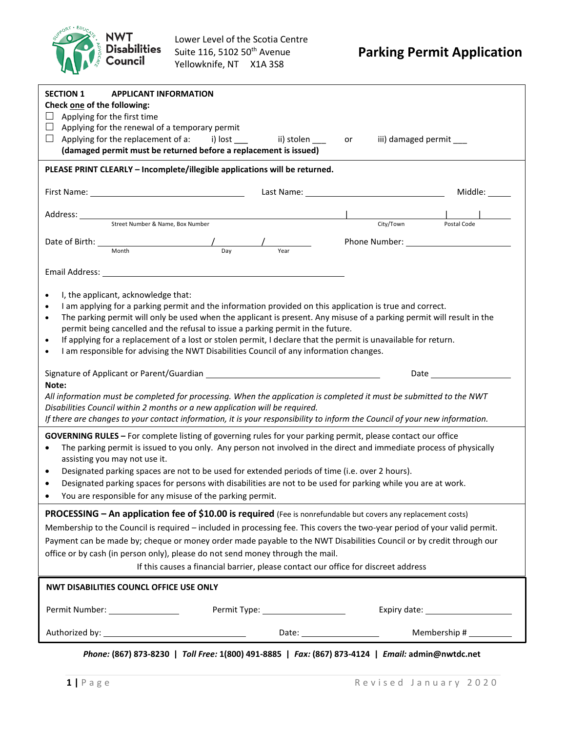

| <b>SECTION 1</b><br>Check one of the following:<br>Applying for the first time<br>ப<br>Applying for the renewal of a temporary permit<br>Applying for the replacement of a: i) lost ____<br>⊔                                  | <b>APPLICANT INFORMATION</b><br>ii) stolen<br>(damaged permit must be returned before a replacement is issued)                                                            | iii) damaged permit ___<br>or                                                                                                                                                                                                                                                                                                                                                                                                                            |                |
|--------------------------------------------------------------------------------------------------------------------------------------------------------------------------------------------------------------------------------|---------------------------------------------------------------------------------------------------------------------------------------------------------------------------|----------------------------------------------------------------------------------------------------------------------------------------------------------------------------------------------------------------------------------------------------------------------------------------------------------------------------------------------------------------------------------------------------------------------------------------------------------|----------------|
| PLEASE PRINT CLEARLY - Incomplete/illegible applications will be returned.                                                                                                                                                     |                                                                                                                                                                           |                                                                                                                                                                                                                                                                                                                                                                                                                                                          |                |
| First Name: 1990 and 1990 and 1990 and 1990 and 1990 and 1990 and 1990 and 1990 and 1990 and 1990 and 1990 and                                                                                                                 |                                                                                                                                                                           |                                                                                                                                                                                                                                                                                                                                                                                                                                                          | Middle: ______ |
| Address: Street Number & Name, Box Number                                                                                                                                                                                      |                                                                                                                                                                           | City/Town<br>Postal Code                                                                                                                                                                                                                                                                                                                                                                                                                                 |                |
| Month                                                                                                                                                                                                                          | Day<br>Year                                                                                                                                                               |                                                                                                                                                                                                                                                                                                                                                                                                                                                          |                |
| Email Address: No. 1996. The Contract of the Contract of the Contract of the Contract of the Contract of the Contract of the Contract of the Contract of the Contract of the Contract of the Contract of the Contract of the C |                                                                                                                                                                           |                                                                                                                                                                                                                                                                                                                                                                                                                                                          |                |
| I, the applicant, acknowledge that:<br>$\bullet$<br>$\bullet$<br>$\bullet$<br>$\bullet$<br>$\bullet$                                                                                                                           | permit being cancelled and the refusal to issue a parking permit in the future.<br>I am responsible for advising the NWT Disabilities Council of any information changes. | I am applying for a parking permit and the information provided on this application is true and correct.<br>The parking permit will only be used when the applicant is present. Any misuse of a parking permit will result in the<br>If applying for a replacement of a lost or stolen permit, I declare that the permit is unavailable for return.                                                                                                      |                |
|                                                                                                                                                                                                                                |                                                                                                                                                                           | Date and the state of the state of the state of the state of the state of the state of the state of the state                                                                                                                                                                                                                                                                                                                                            |                |
| Note:                                                                                                                                                                                                                          |                                                                                                                                                                           | All information must be completed for processing. When the application is completed it must be submitted to the NWT                                                                                                                                                                                                                                                                                                                                      |                |
| Disabilities Council within 2 months or a new application will be required.                                                                                                                                                    |                                                                                                                                                                           | If there are changes to your contact information, it is your responsibility to inform the Council of your new information.                                                                                                                                                                                                                                                                                                                               |                |
| $\bullet$<br>assisting you may not use it.<br>$\bullet$<br>You are responsible for any misuse of the parking permit.                                                                                                           | Designated parking spaces are not to be used for extended periods of time (i.e. over 2 hours).                                                                            | GOVERNING RULES - For complete listing of governing rules for your parking permit, please contact our office<br>The parking permit is issued to you only. Any person not involved in the direct and immediate process of physically<br>Designated parking spaces for persons with disabilities are not to be used for parking while you are at work.                                                                                                     |                |
| office or by cash (in person only), please do not send money through the mail.                                                                                                                                                 |                                                                                                                                                                           | PROCESSING - An application fee of \$10.00 is required (Fee is nonrefundable but covers any replacement costs)<br>Membership to the Council is required - included in processing fee. This covers the two-year period of your valid permit.<br>Payment can be made by; cheque or money order made payable to the NWT Disabilities Council or by credit through our<br>If this causes a financial barrier, please contact our office for discreet address |                |
| NWT DISABILITIES COUNCL OFFICE USE ONLY                                                                                                                                                                                        |                                                                                                                                                                           |                                                                                                                                                                                                                                                                                                                                                                                                                                                          |                |
| Permit Number: _________________                                                                                                                                                                                               | Permit Type: ____________________                                                                                                                                         |                                                                                                                                                                                                                                                                                                                                                                                                                                                          |                |
|                                                                                                                                                                                                                                |                                                                                                                                                                           | Membership # __________<br>Date: $\qquad \qquad$                                                                                                                                                                                                                                                                                                                                                                                                         |                |

*Phone:* **(867) 873-8230 |** *Toll Free:* **1(800) 491-8885 |** *Fax:* **(867) 873-4124 |** *Email:* **admin@nwtdc.net**